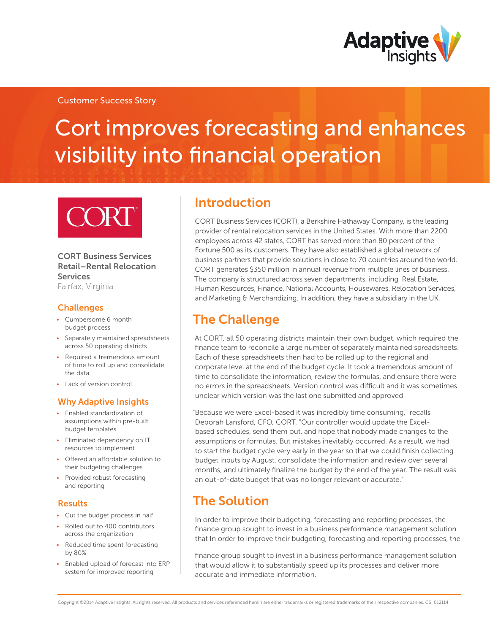

### Customer Success Story

# Cort improves forecasting and enhances visibility into financial operation

### CORT Business Services Retail–Rental Relocation **Services**

Fairfax, Virginia

### **Challenges**

- • Cumbersome 6 month budget process
- • Separately maintained spreadsheets across 50 operating districts
- Required a tremendous amount of time to roll up and consolidate the data
- Lack of version control

### Why Adaptive Insights

- • Enabled standardization of assumptions within pre-built budget templates
- Eliminated dependency on IT resources to implement
- Offered an affordable solution to their budgeting challenges
- Provided robust forecasting and reporting

### Results

- • Cut the budget process in half
- Rolled out to 400 contributors across the organization
- Reduced time spent forecasting by 80%
- • Enabled upload of forecast into ERP system for improved reporting

### Introduction

CORT Business Services (CORT), a Berkshire Hathaway Company, is the leading provider of rental relocation services in the United States. With more than 2200 employees across 42 states, CORT has served more than 80 percent of the Fortune 500 as its customers. They have also established a global network of business partners that provide solutions in close to 70 countries around the world. CORT generates \$350 million in annual revenue from multiple lines of business. The company is structured across seven departments, including Real Estate, Human Resources, Finance, National Accounts, Housewares, Relocation Services, and Marketing & Merchandizing. In addition, they have a subsidiary in the UK.

## The Challenge

At CORT, all 50 operating districts maintain their own budget, which required the finance team to reconcile a large number of separately maintained spreadsheets. Each of these spreadsheets then had to be rolled up to the regional and corporate level at the end of the budget cycle. It took a tremendous amount of time to consolidate the information, review the formulas, and ensure there were no errors in the spreadsheets. Version control was difficult and it was sometimes unclear which version was the last one submitted and approved

"Because we were Excel-based it was incredibly time consuming," recalls Deborah Lansford, CFO, CORT. "Our controller would update the Excelbased schedules, send them out, and hope that nobody made changes to the assumptions or formulas. But mistakes inevitably occurred. As a result, we had to start the budget cycle very early in the year so that we could finish collecting budget inputs by August, consolidate the information and review over several months, and ultimately finalize the budget by the end of the year. The result was an out-of-date budget that was no longer relevant or accurate."

### The Solution

In order to improve their budgeting, forecasting and reporting processes, the finance group sought to invest in a business performance management solution that In order to improve their budgeting, forecasting and reporting processes, the

finance group sought to invest in a business performance management solution that would allow it to substantially speed up its processes and deliver more accurate and immediate information.